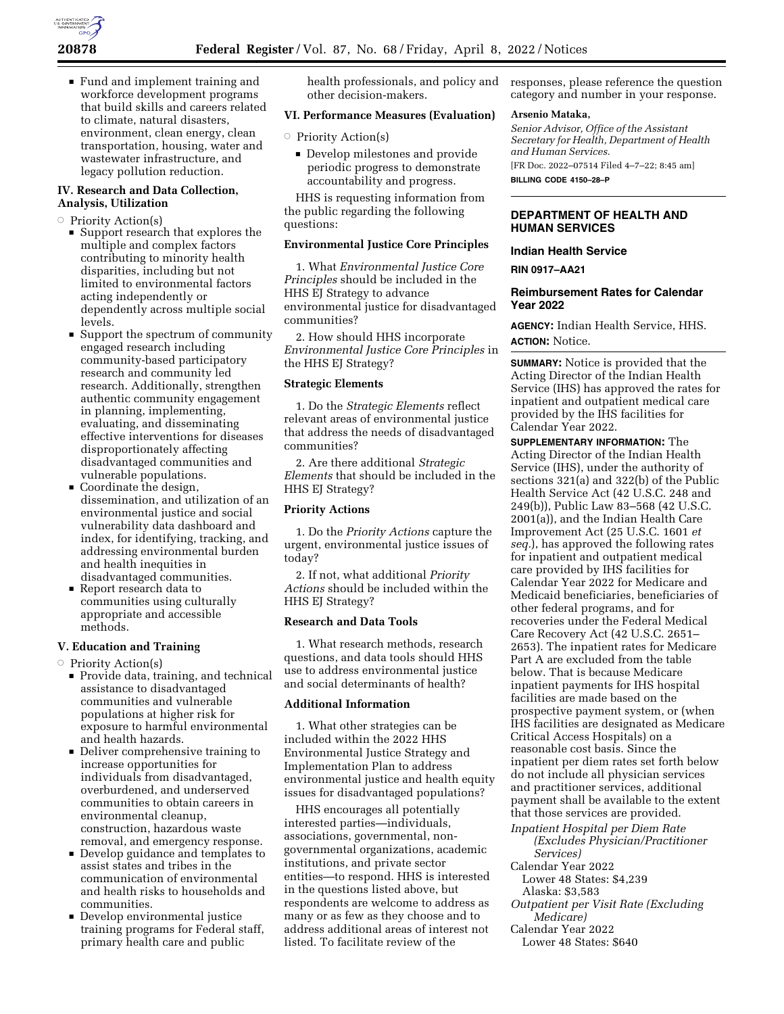

■ Fund and implement training and workforce development programs that build skills and careers related to climate, natural disasters, environment, clean energy, clean transportation, housing, water and wastewater infrastructure, and legacy pollution reduction.

## **IV. Research and Data Collection, Analysis, Utilization**

- **Priority Action(s)** 
	- $\blacksquare$  Support research that explores the multiple and complex factors contributing to minority health disparities, including but not limited to environmental factors acting independently or dependently across multiple social levels.
	- $\blacksquare$  Support the spectrum of community engaged research including community-based participatory research and community led research. Additionally, strengthen authentic community engagement in planning, implementing, evaluating, and disseminating effective interventions for diseases disproportionately affecting disadvantaged communities and vulnerable populations.
	- $\blacksquare$  Coordinate the design, dissemination, and utilization of an environmental justice and social vulnerability data dashboard and index, for identifying, tracking, and addressing environmental burden and health inequities in disadvantaged communities.
	- Report research data to communities using culturally appropriate and accessible methods.

## **V. Education and Training**

- **Priority Action(s)** 
	- **Provide data, training, and technical** assistance to disadvantaged communities and vulnerable populations at higher risk for exposure to harmful environmental and health hazards.
	- Deliver comprehensive training to increase opportunities for individuals from disadvantaged, overburdened, and underserved communities to obtain careers in environmental cleanup, construction, hazardous waste removal, and emergency response.
	- Develop guidance and templates to assist states and tribes in the communication of environmental and health risks to households and communities.
	- Develop environmental justice training programs for Federal staff, primary health care and public

health professionals, and policy and other decision-makers.

## **VI. Performance Measures (Evaluation)**

- **Priority Action(s)** 
	- Develop milestones and provide periodic progress to demonstrate accountability and progress.

HHS is requesting information from the public regarding the following questions:

## **Environmental Justice Core Principles**

1. What *Environmental Justice Core Principles* should be included in the HHS EJ Strategy to advance environmental justice for disadvantaged communities?

2. How should HHS incorporate *Environmental Justice Core Principles* in the HHS EJ Strategy?

#### **Strategic Elements**

1. Do the *Strategic Elements* reflect relevant areas of environmental justice that address the needs of disadvantaged communities?

2. Are there additional *Strategic Elements* that should be included in the HHS EJ Strategy?

## **Priority Actions**

1. Do the *Priority Actions* capture the urgent, environmental justice issues of today?

2. If not, what additional *Priority Actions* should be included within the HHS EJ Strategy?

### **Research and Data Tools**

1. What research methods, research questions, and data tools should HHS use to address environmental justice and social determinants of health?

# **Additional Information**

1. What other strategies can be included within the 2022 HHS Environmental Justice Strategy and Implementation Plan to address environmental justice and health equity issues for disadvantaged populations?

HHS encourages all potentially interested parties—individuals, associations, governmental, nongovernmental organizations, academic institutions, and private sector entities—to respond. HHS is interested in the questions listed above, but respondents are welcome to address as many or as few as they choose and to address additional areas of interest not listed. To facilitate review of the

responses, please reference the question category and number in your response.

#### **Arsenio Mataka,**

*Senior Advisor, Office of the Assistant Secretary for Health, Department of Health and Human Services.* 

[FR Doc. 2022–07514 Filed 4–7–22; 8:45 am] **BILLING CODE 4150–28–P** 

## **DEPARTMENT OF HEALTH AND HUMAN SERVICES**

# **Indian Health Service**

**RIN 0917–AA21** 

## **Reimbursement Rates for Calendar Year 2022**

**AGENCY:** Indian Health Service, HHS. **ACTION:** Notice.

**SUMMARY:** Notice is provided that the Acting Director of the Indian Health Service (IHS) has approved the rates for inpatient and outpatient medical care provided by the IHS facilities for Calendar Year 2022.

**SUPPLEMENTARY INFORMATION:** The Acting Director of the Indian Health Service (IHS), under the authority of sections 321(a) and 322(b) of the Public Health Service Act (42 U.S.C. 248 and 249(b)), Public Law 83–568 (42 U.S.C. 2001(a)), and the Indian Health Care Improvement Act (25 U.S.C. 1601 *et seq.*), has approved the following rates for inpatient and outpatient medical care provided by IHS facilities for Calendar Year 2022 for Medicare and Medicaid beneficiaries, beneficiaries of other federal programs, and for recoveries under the Federal Medical Care Recovery Act (42 U.S.C. 2651– 2653). The inpatient rates for Medicare Part A are excluded from the table below. That is because Medicare inpatient payments for IHS hospital facilities are made based on the prospective payment system, or (when IHS facilities are designated as Medicare Critical Access Hospitals) on a reasonable cost basis. Since the inpatient per diem rates set forth below do not include all physician services and practitioner services, additional payment shall be available to the extent that those services are provided.

*Inpatient Hospital per Diem Rate (Excludes Physician/Practitioner Services)* 

Calendar Year 2022

Lower 48 States: \$4,239

Alaska: \$3,583

*Outpatient per Visit Rate (Excluding Medicare)* 

Calendar Year 2022

Lower 48 States: \$640